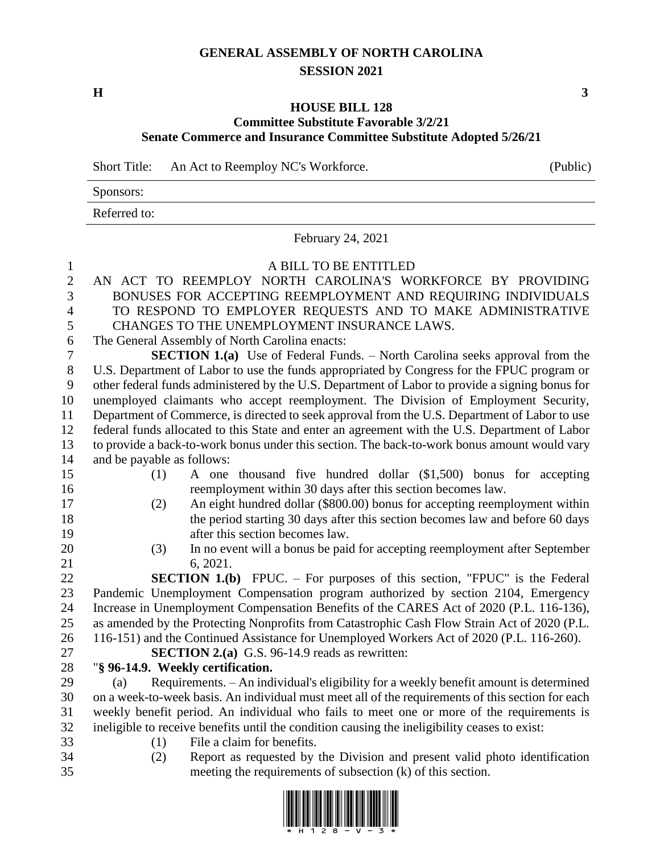## **GENERAL ASSEMBLY OF NORTH CAROLINA SESSION 2021**

**H 3**

## **HOUSE BILL 128 Committee Substitute Favorable 3/2/21 Senate Commerce and Insurance Committee Substitute Adopted 5/26/21**

Short Title: An Act to Reemploy NC's Workforce. (Public)

|              | . . |  |
|--------------|-----|--|
| Sponsors:    |     |  |
| Referred to: |     |  |

February 24, 2021

| $\mathbf{1}$     | A BILL TO BE ENTITLED                                                                                                  |
|------------------|------------------------------------------------------------------------------------------------------------------------|
| $\overline{c}$   | AN ACT TO REEMPLOY NORTH CAROLINA'S WORKFORCE BY PROVIDING                                                             |
| 3                | BONUSES FOR ACCEPTING REEMPLOYMENT AND REQUIRING INDIVIDUALS                                                           |
| $\overline{4}$   | TO RESPOND TO EMPLOYER REQUESTS AND TO MAKE ADMINISTRATIVE                                                             |
| 5                | CHANGES TO THE UNEMPLOYMENT INSURANCE LAWS.                                                                            |
| 6                | The General Assembly of North Carolina enacts:                                                                         |
| $\boldsymbol{7}$ | <b>SECTION 1.(a)</b> Use of Federal Funds. - North Carolina seeks approval from the                                    |
| $8\,$            | U.S. Department of Labor to use the funds appropriated by Congress for the FPUC program or                             |
| 9                | other federal funds administered by the U.S. Department of Labor to provide a signing bonus for                        |
| 10               | unemployed claimants who accept reemployment. The Division of Employment Security,                                     |
| 11               | Department of Commerce, is directed to seek approval from the U.S. Department of Labor to use                          |
| 12               | federal funds allocated to this State and enter an agreement with the U.S. Department of Labor                         |
| 13               | to provide a back-to-work bonus under this section. The back-to-work bonus amount would vary                           |
| 14               | and be payable as follows:                                                                                             |
| 15               | A one thousand five hundred dollar (\$1,500) bonus for accepting<br>(1)                                                |
| 16               | reemployment within 30 days after this section becomes law.                                                            |
| 17               | An eight hundred dollar (\$800.00) bonus for accepting reemployment within<br>(2)                                      |
| 18               | the period starting 30 days after this section becomes law and before 60 days                                          |
| 19               | after this section becomes law.                                                                                        |
| 20               | In no event will a bonus be paid for accepting reemployment after September<br>(3)                                     |
| 21               | 6, 2021.                                                                                                               |
| 22               | <b>SECTION 1.(b)</b> FPUC. – For purposes of this section, "FPUC" is the Federal                                       |
| 23               | Pandemic Unemployment Compensation program authorized by section 2104, Emergency                                       |
| 24               | Increase in Unemployment Compensation Benefits of the CARES Act of 2020 (P.L. 116-136),                                |
| 25               | as amended by the Protecting Nonprofits from Catastrophic Cash Flow Strain Act of 2020 (P.L.                           |
| 26               | 116-151) and the Continued Assistance for Unemployed Workers Act of 2020 (P.L. 116-260).                               |
| 27               | <b>SECTION 2.(a)</b> G.S. 96-14.9 reads as rewritten:                                                                  |
| $28\,$           | "§ 96-14.9. Weekly certification.                                                                                      |
| 29               | Requirements. - An individual's eligibility for a weekly benefit amount is determined<br>(a)                           |
| 30               | on a week-to-week basis. An individual must meet all of the requirements of this section for each                      |
| 31<br>32         | weekly benefit period. An individual who fails to meet one or more of the requirements is                              |
| 33               | ineligible to receive benefits until the condition causing the ineligibility ceases to exist:                          |
| 34               | File a claim for benefits.<br>(1)<br>Report as requested by the Division and present valid photo identification<br>(2) |
| 35               | meeting the requirements of subsection (k) of this section.                                                            |
|                  |                                                                                                                        |

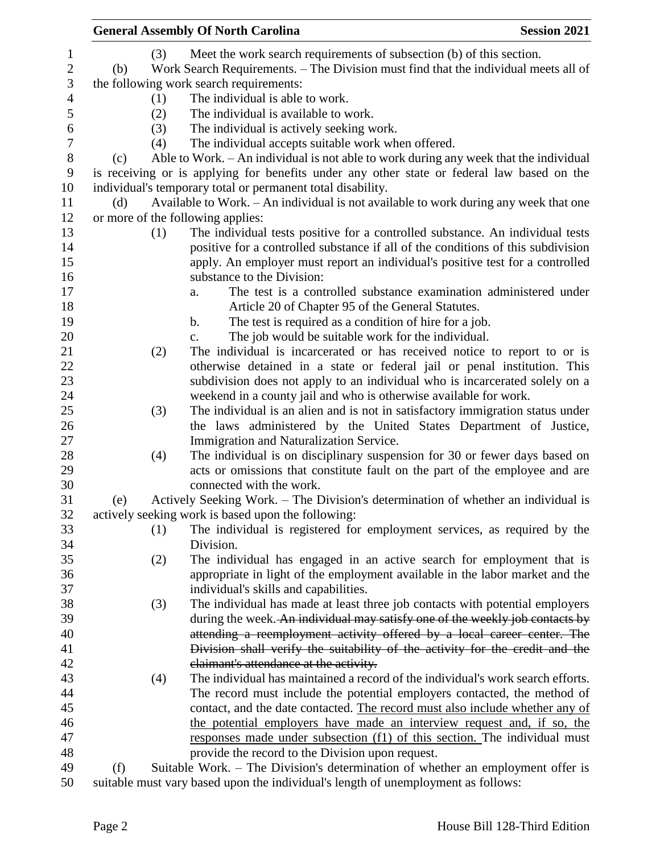| <b>General Assembly Of North Carolina</b> |     | <b>Session 2021</b>                                                                        |  |
|-------------------------------------------|-----|--------------------------------------------------------------------------------------------|--|
|                                           | (3) | Meet the work search requirements of subsection (b) of this section.                       |  |
| (b)                                       |     | Work Search Requirements. - The Division must find that the individual meets all of        |  |
|                                           |     | the following work search requirements:                                                    |  |
|                                           | (1) | The individual is able to work.                                                            |  |
|                                           | (2) | The individual is available to work.                                                       |  |
|                                           | (3) | The individual is actively seeking work.                                                   |  |
|                                           |     |                                                                                            |  |
|                                           | (4) | The individual accepts suitable work when offered.                                         |  |
| (c)                                       |     | Able to Work. – An individual is not able to work during any week that the individual      |  |
|                                           |     | is receiving or is applying for benefits under any other state or federal law based on the |  |
|                                           |     | individual's temporary total or permanent total disability.                                |  |
| (d)                                       |     | Available to Work. – An individual is not available to work during any week that one       |  |
|                                           |     | or more of the following applies:                                                          |  |
|                                           | (1) | The individual tests positive for a controlled substance. An individual tests              |  |
|                                           |     | positive for a controlled substance if all of the conditions of this subdivision           |  |
|                                           |     | apply. An employer must report an individual's positive test for a controlled              |  |
|                                           |     | substance to the Division:                                                                 |  |
|                                           |     | The test is a controlled substance examination administered under<br>a.                    |  |
|                                           |     | Article 20 of Chapter 95 of the General Statutes.                                          |  |
|                                           |     | The test is required as a condition of hire for a job.<br>$\mathbf b$ .                    |  |
|                                           |     | The job would be suitable work for the individual.<br>$\mathbf{c}$ .                       |  |
|                                           | (2) | The individual is incarcerated or has received notice to report to or is                   |  |
|                                           |     | otherwise detained in a state or federal jail or penal institution. This                   |  |
|                                           |     | subdivision does not apply to an individual who is incarcerated solely on a                |  |
|                                           |     | weekend in a county jail and who is otherwise available for work.                          |  |
|                                           | (3) | The individual is an alien and is not in satisfactory immigration status under             |  |
|                                           |     | the laws administered by the United States Department of Justice,                          |  |
|                                           |     | Immigration and Naturalization Service.                                                    |  |
|                                           | (4) | The individual is on disciplinary suspension for 30 or fewer days based on                 |  |
|                                           |     | acts or omissions that constitute fault on the part of the employee and are                |  |
|                                           |     | connected with the work.                                                                   |  |
| (e)                                       |     | Actively Seeking Work. - The Division's determination of whether an individual is          |  |
|                                           |     | actively seeking work is based upon the following:                                         |  |
|                                           |     |                                                                                            |  |
|                                           | (1) | The individual is registered for employment services, as required by the                   |  |
|                                           |     | Division.                                                                                  |  |
|                                           | (2) | The individual has engaged in an active search for employment that is                      |  |
|                                           |     | appropriate in light of the employment available in the labor market and the               |  |
|                                           |     | individual's skills and capabilities.                                                      |  |
|                                           | (3) | The individual has made at least three job contacts with potential employers               |  |
|                                           |     | during the week. An individual may satisfy one of the weekly job contacts by               |  |
|                                           |     | attending a reemployment activity offered by a local career center. The                    |  |
|                                           |     | Division shall verify the suitability of the activity for the credit and the               |  |
|                                           |     | claimant's attendance at the activity.                                                     |  |
|                                           | (4) | The individual has maintained a record of the individual's work search efforts.            |  |
|                                           |     | The record must include the potential employers contacted, the method of                   |  |
|                                           |     | contact, and the date contacted. The record must also include whether any of               |  |
|                                           |     | the potential employers have made an interview request and, if so, the                     |  |
|                                           |     | responses made under subsection (f1) of this section. The individual must                  |  |
|                                           |     | provide the record to the Division upon request.                                           |  |
| (f)                                       |     | Suitable Work. – The Division's determination of whether an employment offer is            |  |
|                                           |     | the must very besed upon the individual's length of unamplayment as follows:               |  |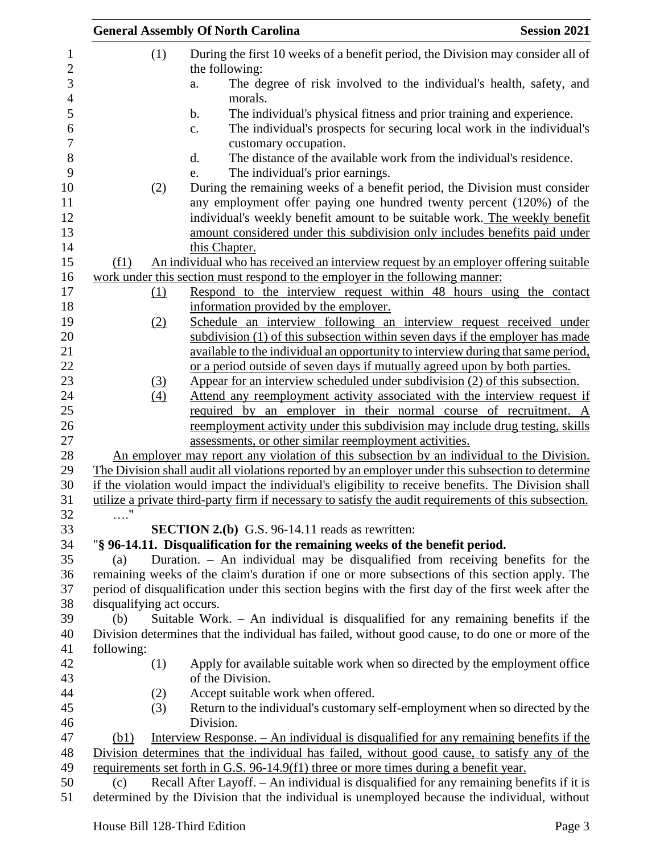|                           | <b>General Assembly Of North Carolina</b>                                                                                                                                                                                        | <b>Session 2021</b> |
|---------------------------|----------------------------------------------------------------------------------------------------------------------------------------------------------------------------------------------------------------------------------|---------------------|
| (1)                       | During the first 10 weeks of a benefit period, the Division may consider all of<br>the following:                                                                                                                                |                     |
|                           | The degree of risk involved to the individual's health, safety, and<br>a.<br>morals.                                                                                                                                             |                     |
|                           | The individual's physical fitness and prior training and experience.<br>b.<br>The individual's prospects for securing local work in the individual's<br>c.<br>customary occupation.                                              |                     |
|                           | The distance of the available work from the individual's residence.<br>d.                                                                                                                                                        |                     |
|                           | The individual's prior earnings.<br>e.                                                                                                                                                                                           |                     |
| (2)                       | During the remaining weeks of a benefit period, the Division must consider<br>any employment offer paying one hundred twenty percent (120%) of the<br>individual's weekly benefit amount to be suitable work. The weekly benefit |                     |
|                           | amount considered under this subdivision only includes benefits paid under                                                                                                                                                       |                     |
|                           | this Chapter.                                                                                                                                                                                                                    |                     |
| (f1)                      | An individual who has received an interview request by an employer offering suitable                                                                                                                                             |                     |
|                           | work under this section must respond to the employer in the following manner:                                                                                                                                                    |                     |
| (1)                       | Respond to the interview request within 48 hours using the contact                                                                                                                                                               |                     |
|                           | information provided by the employer.                                                                                                                                                                                            |                     |
| (2)                       | Schedule an interview following an interview request received under                                                                                                                                                              |                     |
|                           | subdivision (1) of this subsection within seven days if the employer has made                                                                                                                                                    |                     |
|                           | available to the individual an opportunity to interview during that same period,                                                                                                                                                 |                     |
|                           | or a period outside of seven days if mutually agreed upon by both parties.                                                                                                                                                       |                     |
| $\Omega$                  | Appear for an interview scheduled under subdivision (2) of this subsection.                                                                                                                                                      |                     |
| (4)                       | Attend any reemployment activity associated with the interview request if                                                                                                                                                        |                     |
|                           | required by an employer in their normal course of recruitment. A                                                                                                                                                                 |                     |
|                           | reemployment activity under this subdivision may include drug testing, skills                                                                                                                                                    |                     |
|                           | assessments, or other similar reemployment activities.                                                                                                                                                                           |                     |
|                           | An employer may report any violation of this subsection by an individual to the Division.                                                                                                                                        |                     |
|                           | The Division shall audit all violations reported by an employer under this subsection to determine                                                                                                                               |                     |
|                           | if the violation would impact the individual's eligibility to receive benefits. The Division shall                                                                                                                               |                     |
|                           | utilize a private third-party firm if necessary to satisfy the audit requirements of this subsection.                                                                                                                            |                     |
|                           | <b>SECTION 2.(b)</b> G.S. 96-14.11 reads as rewritten:                                                                                                                                                                           |                     |
|                           | "§ 96-14.11. Disqualification for the remaining weeks of the benefit period.                                                                                                                                                     |                     |
| (a)                       | Duration. - An individual may be disqualified from receiving benefits for the                                                                                                                                                    |                     |
|                           | remaining weeks of the claim's duration if one or more subsections of this section apply. The                                                                                                                                    |                     |
|                           | period of disqualification under this section begins with the first day of the first week after the                                                                                                                              |                     |
| disqualifying act occurs. |                                                                                                                                                                                                                                  |                     |
| (b)                       | Suitable Work. $-$ An individual is disqualified for any remaining benefits if the                                                                                                                                               |                     |
|                           | Division determines that the individual has failed, without good cause, to do one or more of the                                                                                                                                 |                     |
| following:                |                                                                                                                                                                                                                                  |                     |
| (1)                       | Apply for available suitable work when so directed by the employment office                                                                                                                                                      |                     |
|                           | of the Division.                                                                                                                                                                                                                 |                     |
| (2)                       | Accept suitable work when offered.                                                                                                                                                                                               |                     |
| (3)                       | Return to the individual's customary self-employment when so directed by the                                                                                                                                                     |                     |
|                           | Division.                                                                                                                                                                                                                        |                     |
| (b1)                      | Interview Response. – An individual is disqualified for any remaining benefits if the                                                                                                                                            |                     |
|                           | Division determines that the individual has failed, without good cause, to satisfy any of the                                                                                                                                    |                     |
|                           | requirements set forth in G.S. 96-14.9(f1) three or more times during a benefit year.                                                                                                                                            |                     |
| (c)                       | Recall After Layoff. - An individual is disqualified for any remaining benefits if it is                                                                                                                                         |                     |
|                           | determined by the Division that the individual is unemployed because the individual, without                                                                                                                                     |                     |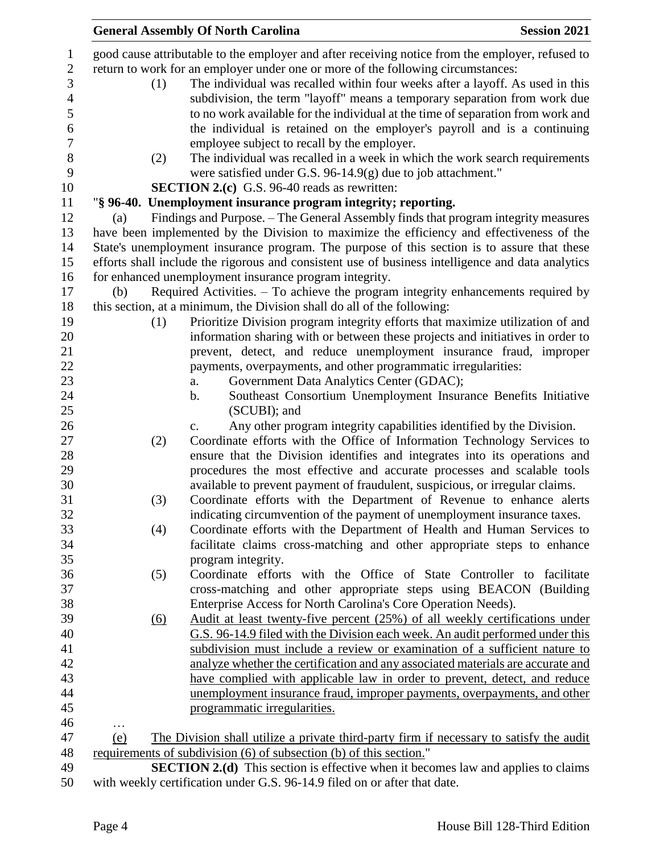|                        |     | <b>General Assembly Of North Carolina</b>                                                         | <b>Session 2021</b> |
|------------------------|-----|---------------------------------------------------------------------------------------------------|---------------------|
|                        |     | good cause attributable to the employer and after receiving notice from the employer, refused to  |                     |
|                        |     | return to work for an employer under one or more of the following circumstances:                  |                     |
|                        | (1) | The individual was recalled within four weeks after a layoff. As used in this                     |                     |
|                        |     | subdivision, the term "layoff" means a temporary separation from work due                         |                     |
|                        |     | to no work available for the individual at the time of separation from work and                   |                     |
|                        |     |                                                                                                   |                     |
|                        |     | the individual is retained on the employer's payroll and is a continuing                          |                     |
|                        |     | employee subject to recall by the employer.                                                       |                     |
|                        | (2) | The individual was recalled in a week in which the work search requirements                       |                     |
|                        |     | were satisfied under G.S. 96-14.9 $(g)$ due to job attachment."                                   |                     |
|                        |     | <b>SECTION 2.(c)</b> G.S. 96-40 reads as rewritten:                                               |                     |
|                        |     | "§ 96-40. Unemployment insurance program integrity; reporting.                                    |                     |
| (a)                    |     | Findings and Purpose. - The General Assembly finds that program integrity measures                |                     |
|                        |     | have been implemented by the Division to maximize the efficiency and effectiveness of the         |                     |
|                        |     | State's unemployment insurance program. The purpose of this section is to assure that these       |                     |
|                        |     | efforts shall include the rigorous and consistent use of business intelligence and data analytics |                     |
|                        |     | for enhanced unemployment insurance program integrity.                                            |                     |
| (b)                    |     | Required Activities. – To achieve the program integrity enhancements required by                  |                     |
|                        |     | this section, at a minimum, the Division shall do all of the following:                           |                     |
|                        | (1) | Prioritize Division program integrity efforts that maximize utilization of and                    |                     |
|                        |     | information sharing with or between these projects and initiatives in order to                    |                     |
|                        |     | prevent, detect, and reduce unemployment insurance fraud, improper                                |                     |
|                        |     | payments, overpayments, and other programmatic irregularities:                                    |                     |
|                        |     | Government Data Analytics Center (GDAC);<br>a.                                                    |                     |
|                        |     | Southeast Consortium Unemployment Insurance Benefits Initiative<br>b.                             |                     |
|                        |     | (SCUBI); and                                                                                      |                     |
|                        |     | Any other program integrity capabilities identified by the Division.<br>$\mathbf{c}$ .            |                     |
|                        | (2) | Coordinate efforts with the Office of Information Technology Services to                          |                     |
|                        |     | ensure that the Division identifies and integrates into its operations and                        |                     |
|                        |     | procedures the most effective and accurate processes and scalable tools                           |                     |
|                        |     | available to prevent payment of fraudulent, suspicious, or irregular claims.                      |                     |
|                        | (3) | Coordinate efforts with the Department of Revenue to enhance alerts                               |                     |
|                        |     | indicating circumvention of the payment of unemployment insurance taxes.                          |                     |
|                        | (4) | Coordinate efforts with the Department of Health and Human Services to                            |                     |
|                        |     | facilitate claims cross-matching and other appropriate steps to enhance                           |                     |
|                        |     | program integrity.                                                                                |                     |
|                        | (5) | Coordinate efforts with the Office of State Controller to facilitate                              |                     |
|                        |     | cross-matching and other appropriate steps using BEACON (Building                                 |                     |
|                        |     | Enterprise Access for North Carolina's Core Operation Needs).                                     |                     |
|                        |     |                                                                                                   |                     |
|                        | (6) | Audit at least twenty-five percent (25%) of all weekly certifications under                       |                     |
|                        |     | G.S. 96-14.9 filed with the Division each week. An audit performed under this                     |                     |
|                        |     | subdivision must include a review or examination of a sufficient nature to                        |                     |
|                        |     | analyze whether the certification and any associated materials are accurate and                   |                     |
|                        |     | have complied with applicable law in order to prevent, detect, and reduce                         |                     |
|                        |     | unemployment insurance fraud, improper payments, overpayments, and other                          |                     |
|                        |     | programmatic irregularities.                                                                      |                     |
| $\cdots$<br><u>(e)</u> |     | The Division shall utilize a private third-party firm if necessary to satisfy the audit           |                     |
|                        |     | requirements of subdivision (6) of subsection (b) of this section."                               |                     |
|                        |     | <b>SECTION 2.(d)</b> This section is effective when it becomes law and applies to claims          |                     |
|                        |     | with weekly certification under G.S. 96-14.9 filed on or after that date.                         |                     |
|                        |     |                                                                                                   |                     |